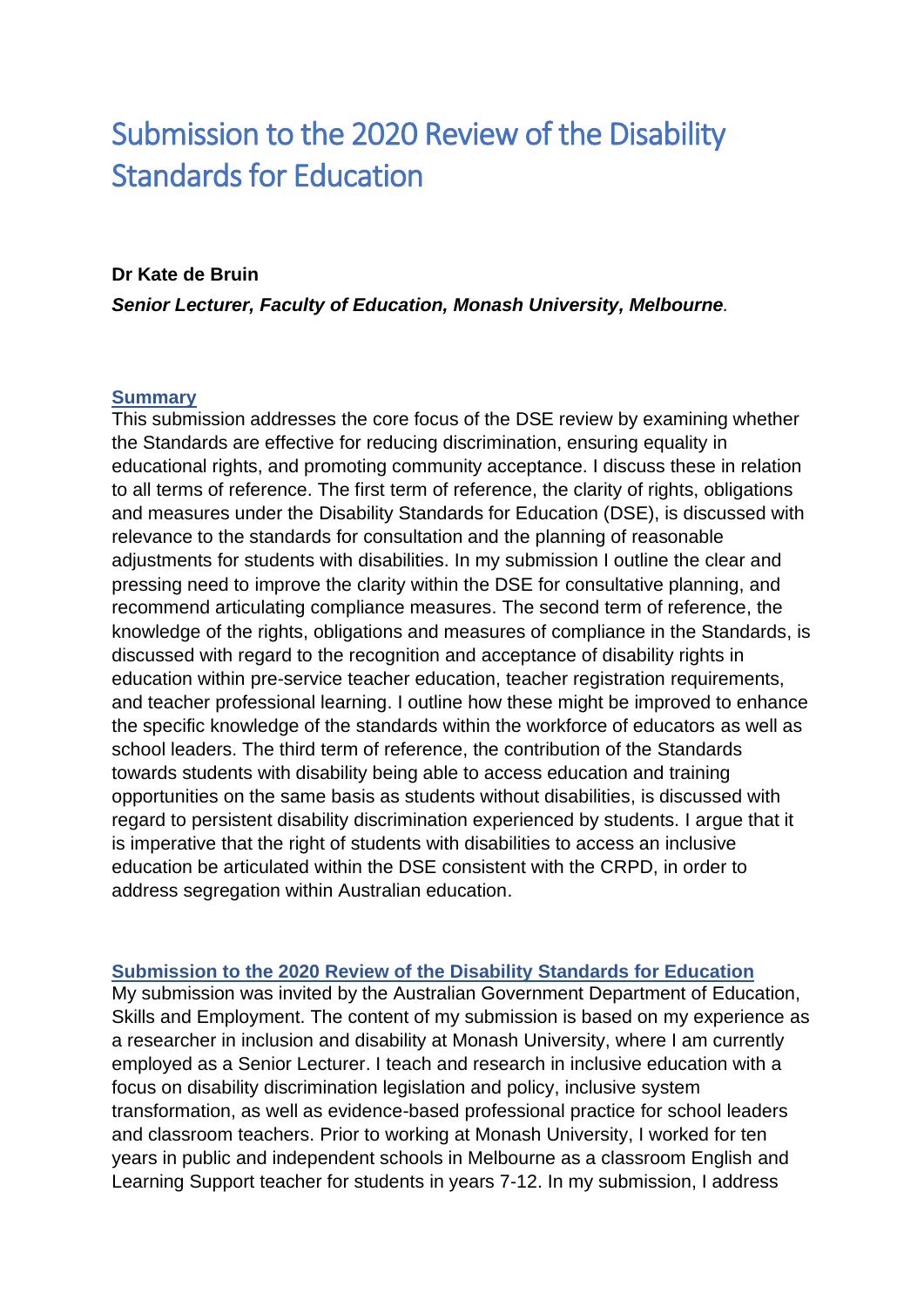# Submission to the 2020 Review of the Disability Standards for Education

#### **Dr Kate de Bruin**

*Senior Lecturer, Faculty of Education, Monash University, Melbourne.*

#### **Summary**

This submission addresses the core focus of the DSE review by examining whether the Standards are effective for reducing discrimination, ensuring equality in educational rights, and promoting community acceptance. I discuss these in relation to all terms of reference. The first term of reference, the clarity of rights, obligations and measures under the Disability Standards for Education (DSE), is discussed with relevance to the standards for consultation and the planning of reasonable adjustments for students with disabilities. In my submission I outline the clear and pressing need to improve the clarity within the DSE for consultative planning, and recommend articulating compliance measures. The second term of reference, the knowledge of the rights, obligations and measures of compliance in the Standards, is discussed with regard to the recognition and acceptance of disability rights in education within pre-service teacher education, teacher registration requirements, and teacher professional learning. I outline how these might be improved to enhance the specific knowledge of the standards within the workforce of educators as well as school leaders. The third term of reference, the contribution of the Standards towards students with disability being able to access education and training opportunities on the same basis as students without disabilities, is discussed with regard to persistent disability discrimination experienced by students. I argue that it is imperative that the right of students with disabilities to access an inclusive education be articulated within the DSE consistent with the CRPD, in order to address segregation within Australian education.

## **Submission to the 2020 Review of the Disability Standards for Education**

My submission was invited by the Australian Government Department of Education, Skills and Employment. The content of my submission is based on my experience as a researcher in inclusion and disability at Monash University, where I am currently employed as a Senior Lecturer. I teach and research in inclusive education with a focus on disability discrimination legislation and policy, inclusive system transformation, as well as evidence-based professional practice for school leaders and classroom teachers. Prior to working at Monash University, I worked for ten years in public and independent schools in Melbourne as a classroom English and Learning Support teacher for students in years 7-12. In my submission, I address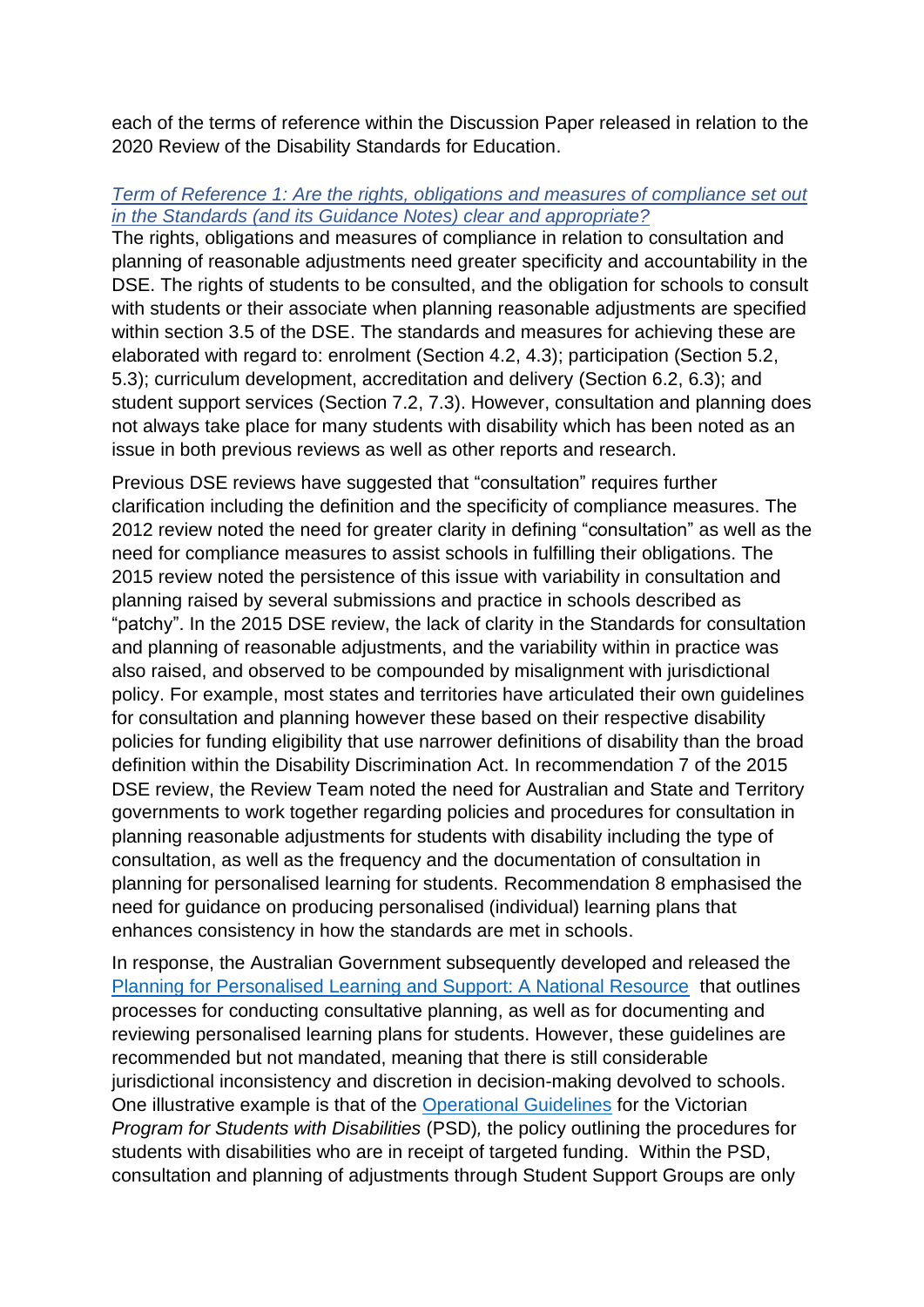each of the terms of reference within the Discussion Paper released in relation to the 2020 Review of the Disability Standards for Education.

## *Term of Reference 1: Are the rights, obligations and measures of compliance set out in the Standards (and its Guidance Notes) clear and appropriate?*

The rights, obligations and measures of compliance in relation to consultation and planning of reasonable adjustments need greater specificity and accountability in the DSE. The rights of students to be consulted, and the obligation for schools to consult with students or their associate when planning reasonable adjustments are specified within section 3.5 of the DSE. The standards and measures for achieving these are elaborated with regard to: enrolment (Section 4.2, 4.3); participation (Section 5.2, 5.3); curriculum development, accreditation and delivery (Section 6.2, 6.3); and student support services (Section 7.2, 7.3). However, consultation and planning does not always take place for many students with disability which has been noted as an issue in both previous reviews as well as other reports and research.

Previous DSE reviews have suggested that "consultation" requires further clarification including the definition and the specificity of compliance measures. The 2012 review noted the need for greater clarity in defining "consultation" as well as the need for compliance measures to assist schools in fulfilling their obligations. The 2015 review noted the persistence of this issue with variability in consultation and planning raised by several submissions and practice in schools described as "patchy". In the 2015 DSE review, the lack of clarity in the Standards for consultation and planning of reasonable adjustments, and the variability within in practice was also raised, and observed to be compounded by misalignment with jurisdictional policy. For example, most states and territories have articulated their own guidelines for consultation and planning however these based on their respective disability policies for funding eligibility that use narrower definitions of disability than the broad definition within the Disability Discrimination Act. In recommendation 7 of the 2015 DSE review, the Review Team noted the need for Australian and State and Territory governments to work together regarding policies and procedures for consultation in planning reasonable adjustments for students with disability including the type of consultation, as well as the frequency and the documentation of consultation in planning for personalised learning for students. Recommendation 8 emphasised the need for guidance on producing personalised (individual) learning plans that enhances consistency in how the standards are met in schools.

In response, the Australian Government subsequently developed and released the [Planning for Personalised Learning and Support: A National Resource](https://docs.education.gov.au/documents/planning-personalised-learning-and-support-national-resource-0) that outlines processes for conducting consultative planning, as well as for documenting and reviewing personalised learning plans for students. However, these guidelines are recommended but not mandated, meaning that there is still considerable jurisdictional inconsistency and discretion in decision-making devolved to schools. One illustrative example is that of the [Operational Guidelines](https://www.education.vic.gov.au/school/teachers/learningneeds/Pages/psdhandbook.aspx) for the Victorian *Program for Students with Disabilities* (PSD)*,* the policy outlining the procedures for students with disabilities who are in receipt of targeted funding. Within the PSD, consultation and planning of adjustments through Student Support Groups are only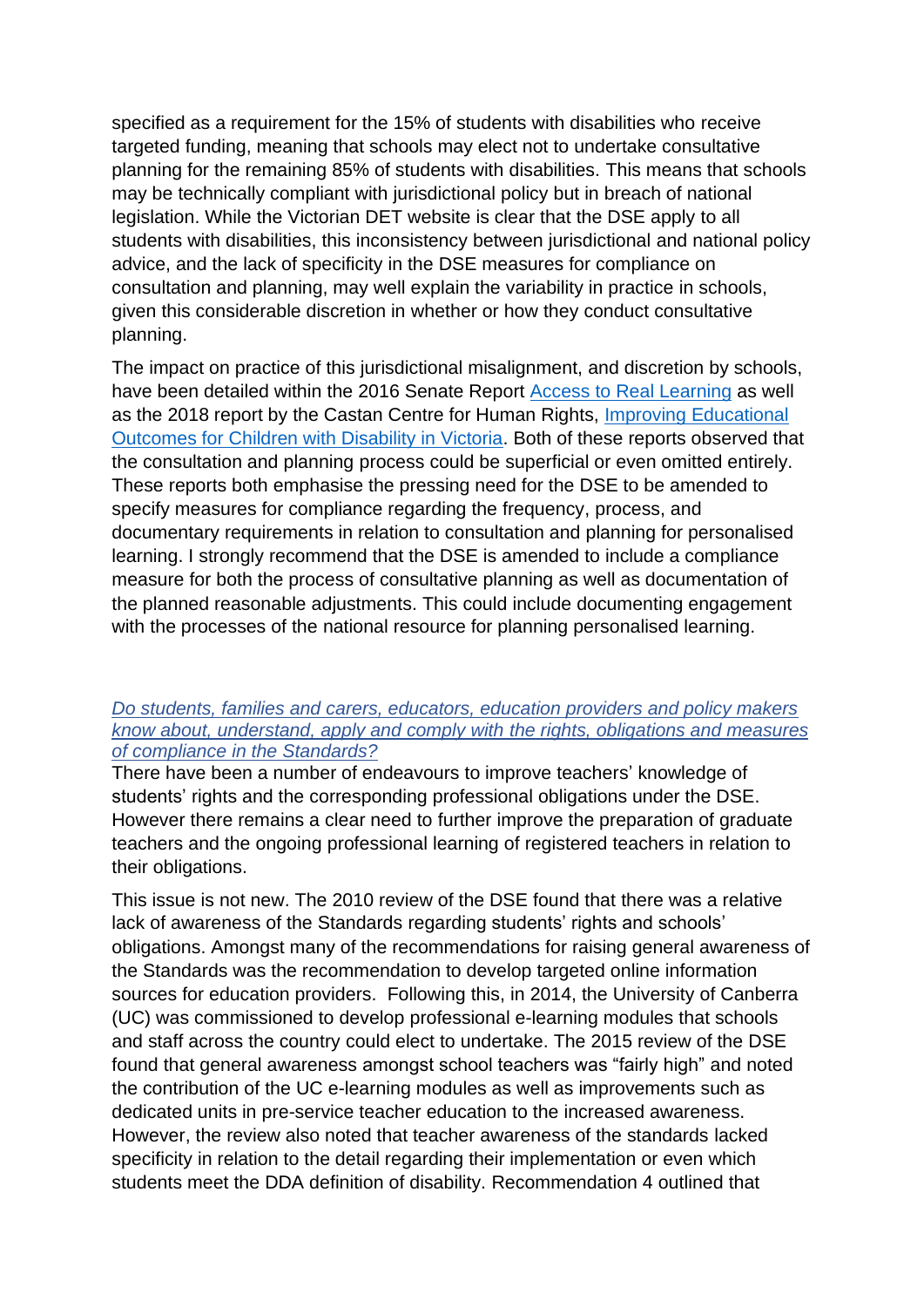specified as a requirement for the 15% of students with disabilities who receive targeted funding, meaning that schools may elect not to undertake consultative planning for the remaining 85% of students with disabilities. This means that schools may be technically compliant with jurisdictional policy but in breach of national legislation. While the Victorian DET website is clear that the DSE apply to all students with disabilities, this inconsistency between jurisdictional and national policy advice, and the lack of specificity in the DSE measures for compliance on consultation and planning, may well explain the variability in practice in schools, given this considerable discretion in whether or how they conduct consultative planning.

The impact on practice of this jurisdictional misalignment, and discretion by schools, have been detailed within the 2016 Senate Report **Access to Real Learning** as well as the 2018 report by the Castan Centre for Human Rights, [Improving Educational](https://www.monash.edu/__data/assets/file/0016/1412170/Castan-Centre-Improving-Educational-Outcomes-for-Students-with-Disability.pdf?utm_source=newsletter&utm_medium=email&utm_campaign=read_our_landmark_report_into_the_education_of_children_with_disability&utm_term=2018-06-28)  [Outcomes for Children with Disability in Victoria.](https://www.monash.edu/__data/assets/file/0016/1412170/Castan-Centre-Improving-Educational-Outcomes-for-Students-with-Disability.pdf?utm_source=newsletter&utm_medium=email&utm_campaign=read_our_landmark_report_into_the_education_of_children_with_disability&utm_term=2018-06-28) Both of these reports observed that the consultation and planning process could be superficial or even omitted entirely. These reports both emphasise the pressing need for the DSE to be amended to specify measures for compliance regarding the frequency, process, and documentary requirements in relation to consultation and planning for personalised learning. I strongly recommend that the DSE is amended to include a compliance measure for both the process of consultative planning as well as documentation of the planned reasonable adjustments. This could include documenting engagement with the processes of the national resource for planning personalised learning.

## *Do students, families and carers, educators, education providers and policy makers know about, understand, apply and comply with the rights, obligations and measures of compliance in the Standards?*

There have been a number of endeavours to improve teachers' knowledge of students' rights and the corresponding professional obligations under the DSE. However there remains a clear need to further improve the preparation of graduate teachers and the ongoing professional learning of registered teachers in relation to their obligations.

This issue is not new. The 2010 review of the DSE found that there was a relative lack of awareness of the Standards regarding students' rights and schools' obligations. Amongst many of the recommendations for raising general awareness of the Standards was the recommendation to develop targeted online information sources for education providers. Following this, in 2014, the University of Canberra (UC) was commissioned to develop professional e-learning modules that schools and staff across the country could elect to undertake. The 2015 review of the DSE found that general awareness amongst school teachers was "fairly high" and noted the contribution of the UC e-learning modules as well as improvements such as dedicated units in pre-service teacher education to the increased awareness. However, the review also noted that teacher awareness of the standards lacked specificity in relation to the detail regarding their implementation or even which students meet the DDA definition of disability. Recommendation 4 outlined that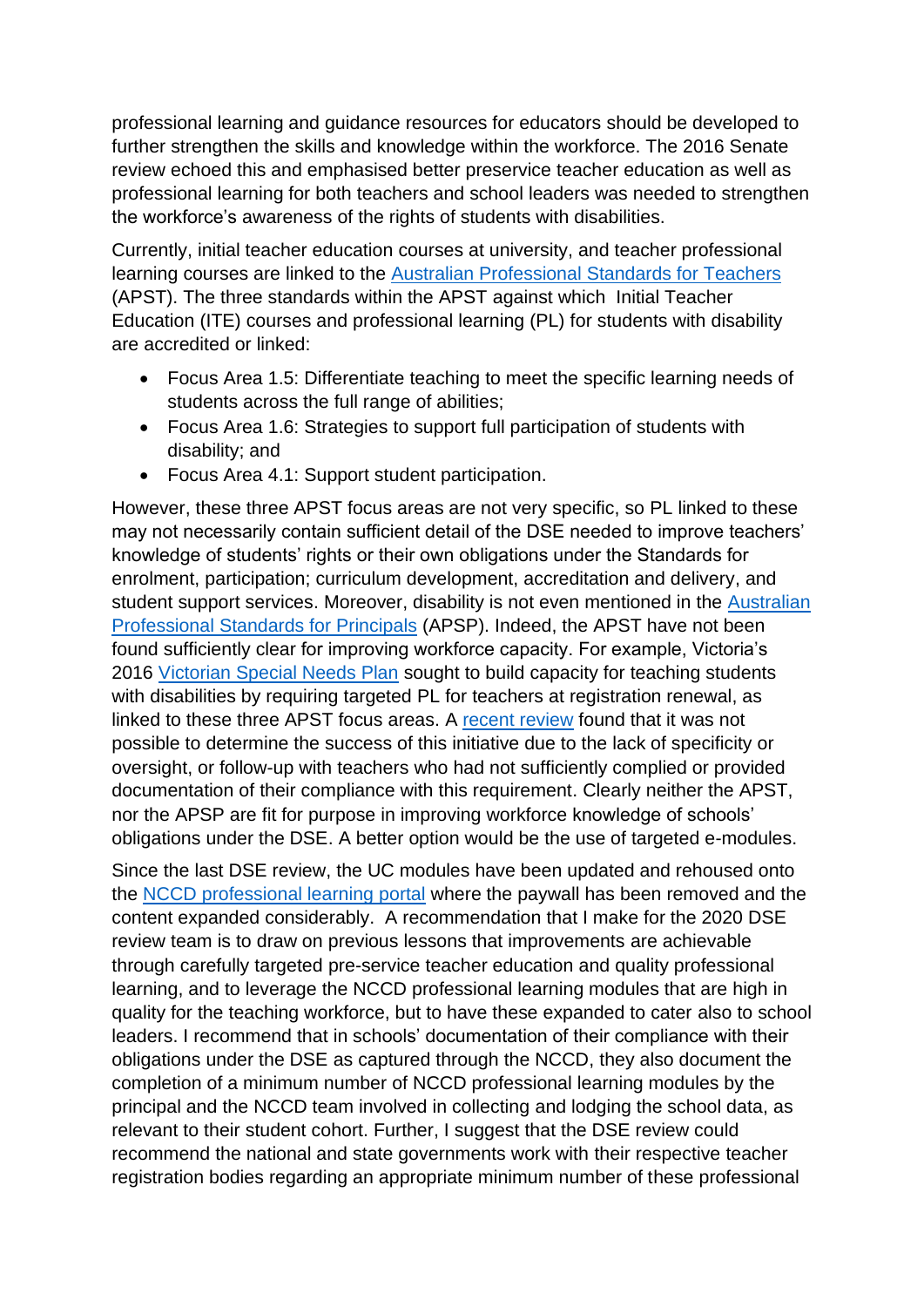professional learning and guidance resources for educators should be developed to further strengthen the skills and knowledge within the workforce. The 2016 Senate review echoed this and emphasised better preservice teacher education as well as professional learning for both teachers and school leaders was needed to strengthen the workforce's awareness of the rights of students with disabilities.

Currently, initial teacher education courses at university, and teacher professional learning courses are linked to the [Australian Professional Standards for Teachers](https://www.aitsl.edu.au/docs/default-source/national-policy-framework/australian-professional-standards-for-teachers.pdf?sfvrsn=5800f33c_74) (APST). The three standards within the APST against which Initial Teacher Education (ITE) courses and professional learning (PL) for students with disability are accredited or linked:

- Focus Area 1.5: Differentiate teaching to meet the specific learning needs of students across the full range of abilities;
- Focus Area 1.6: Strategies to support full participation of students with disability; and
- Focus Area 4.1: Support student participation.

However, these three APST focus areas are not very specific, so PL linked to these may not necessarily contain sufficient detail of the DSE needed to improve teachers' knowledge of students' rights or their own obligations under the Standards for enrolment, participation; curriculum development, accreditation and delivery, and student support services. Moreover, disability is not even mentioned in the Australian [Professional Standards for Principals](https://www.aitsl.edu.au/lead-develop/understand-the-principal-standard/unpack-the-principal-standard) (APSP). Indeed, the APST have not been found sufficiently clear for improving workforce capacity. For example, Victoria's 2016 [Victorian Special Needs Plan](https://www.vit.vic.edu.au/registered-teacher/special-needs-plan) sought to build capacity for teaching students with disabilities by requiring targeted PL for teachers at registration renewal, as linked to these three APST focus areas. A [recent review](https://www.audit.vic.gov.au/report/professional-learning-school-teachers?section=) found that it was not possible to determine the success of this initiative due to the lack of specificity or oversight, or follow-up with teachers who had not sufficiently complied or provided documentation of their compliance with this requirement. Clearly neither the APST, nor the APSP are fit for purpose in improving workforce knowledge of schools' obligations under the DSE. A better option would be the use of targeted e-modules.

Since the last DSE review, the UC modules have been updated and rehoused onto the [NCCD professional learning](https://www.nccd.edu.au/resources-and-tools/professional-learning) portal where the paywall has been removed and the content expanded considerably. A recommendation that I make for the 2020 DSE review team is to draw on previous lessons that improvements are achievable through carefully targeted pre-service teacher education and quality professional learning, and to leverage the NCCD professional learning modules that are high in quality for the teaching workforce, but to have these expanded to cater also to school leaders. I recommend that in schools' documentation of their compliance with their obligations under the DSE as captured through the NCCD, they also document the completion of a minimum number of NCCD professional learning modules by the principal and the NCCD team involved in collecting and lodging the school data, as relevant to their student cohort. Further, I suggest that the DSE review could recommend the national and state governments work with their respective teacher registration bodies regarding an appropriate minimum number of these professional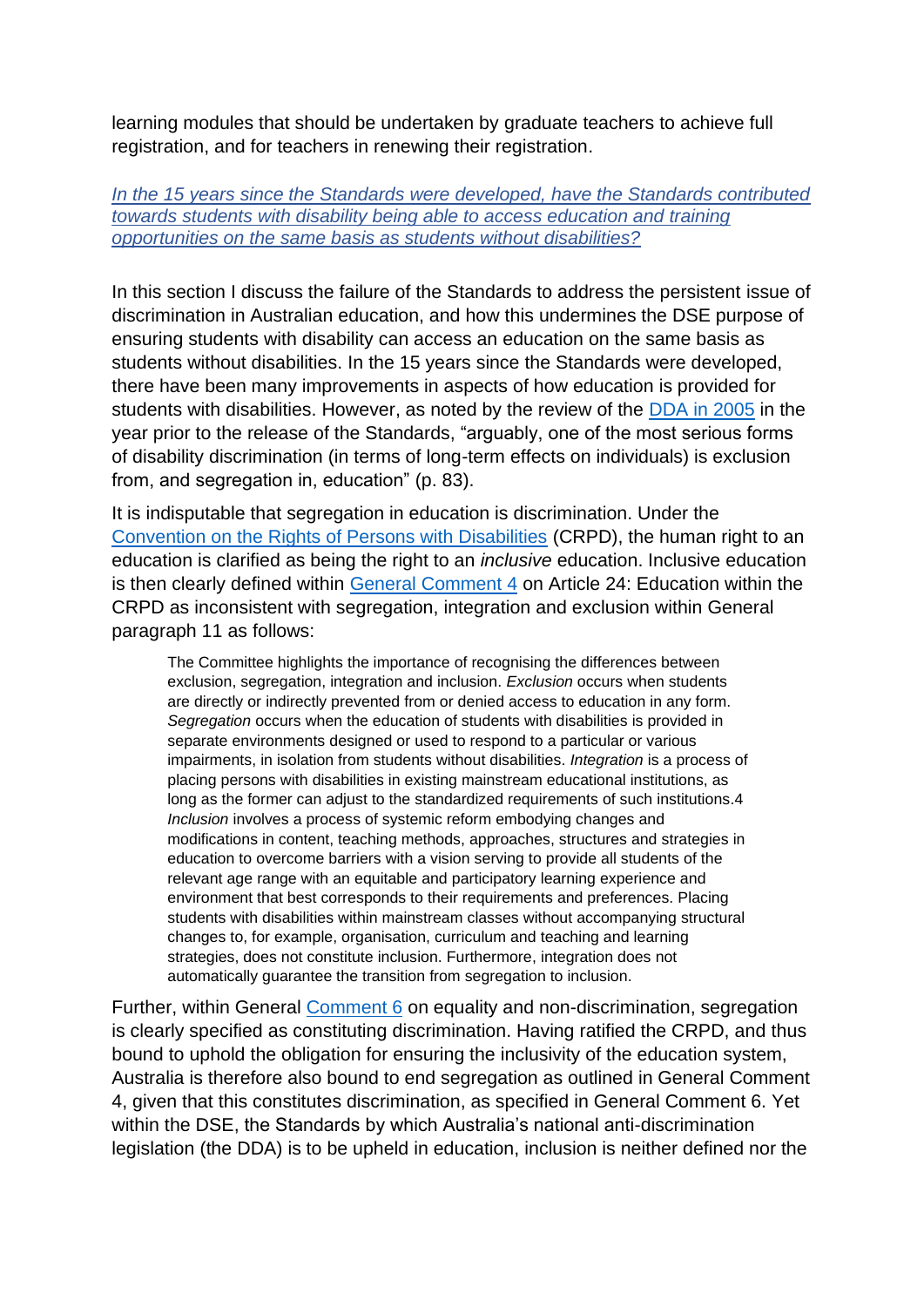learning modules that should be undertaken by graduate teachers to achieve full registration, and for teachers in renewing their registration.

#### *In the 15 years since the Standards were developed, have the Standards contributed towards students with disability being able to access education and training opportunities on the same basis as students without disabilities?*

In this section I discuss the failure of the Standards to address the persistent issue of discrimination in Australian education, and how this undermines the DSE purpose of ensuring students with disability can access an education on the same basis as students without disabilities. In the 15 years since the Standards were developed, there have been many improvements in aspects of how education is provided for students with disabilities. However, as noted by the review of the [DDA in 2005](https://www.pc.gov.au/projects/inquiry/disability-discrimination/report?a=93982) in the year prior to the release of the Standards, "arguably, one of the most serious forms of disability discrimination (in terms of long-term effects on individuals) is exclusion from, and segregation in, education" (p. 83).

It is indisputable that segregation in education is discrimination. Under the [Convention on the Rights of Persons with Disabilities](https://www.un.org/development/desa/disabilities/convention-on-the-rights-of-persons-with-disabilities.html) (CRPD), the human right to an education is clarified as being the right to an *inclusive* education. Inclusive education is then clearly defined within [General Comment 4](https://www.ohchr.org/Documents/HRBodies/CRPD/GC/RighttoEducation/CRPD-C-GC-4.doc) on Article 24: Education within the CRPD as inconsistent with segregation, integration and exclusion within General paragraph 11 as follows:

The Committee highlights the importance of recognising the differences between exclusion, segregation, integration and inclusion. *Exclusion* occurs when students are directly or indirectly prevented from or denied access to education in any form. *Segregation* occurs when the education of students with disabilities is provided in separate environments designed or used to respond to a particular or various impairments, in isolation from students without disabilities. *Integration* is a process of placing persons with disabilities in existing mainstream educational institutions, as long as the former can adjust to the standardized requirements of such institutions.4 *Inclusion* involves a process of systemic reform embodying changes and modifications in content, teaching methods, approaches, structures and strategies in education to overcome barriers with a vision serving to provide all students of the relevant age range with an equitable and participatory learning experience and environment that best corresponds to their requirements and preferences. Placing students with disabilities within mainstream classes without accompanying structural changes to, for example, organisation, curriculum and teaching and learning strategies, does not constitute inclusion. Furthermore, integration does not automatically guarantee the transition from segregation to inclusion.

Further, within General [Comment 6](https://digitallibrary.un.org/record/1626976?ln=en) on equality and non-discrimination, segregation is clearly specified as constituting discrimination. Having ratified the CRPD, and thus bound to uphold the obligation for ensuring the inclusivity of the education system, Australia is therefore also bound to end segregation as outlined in General Comment 4, given that this constitutes discrimination, as specified in General Comment 6. Yet within the DSE, the Standards by which Australia's national anti-discrimination legislation (the DDA) is to be upheld in education, inclusion is neither defined nor the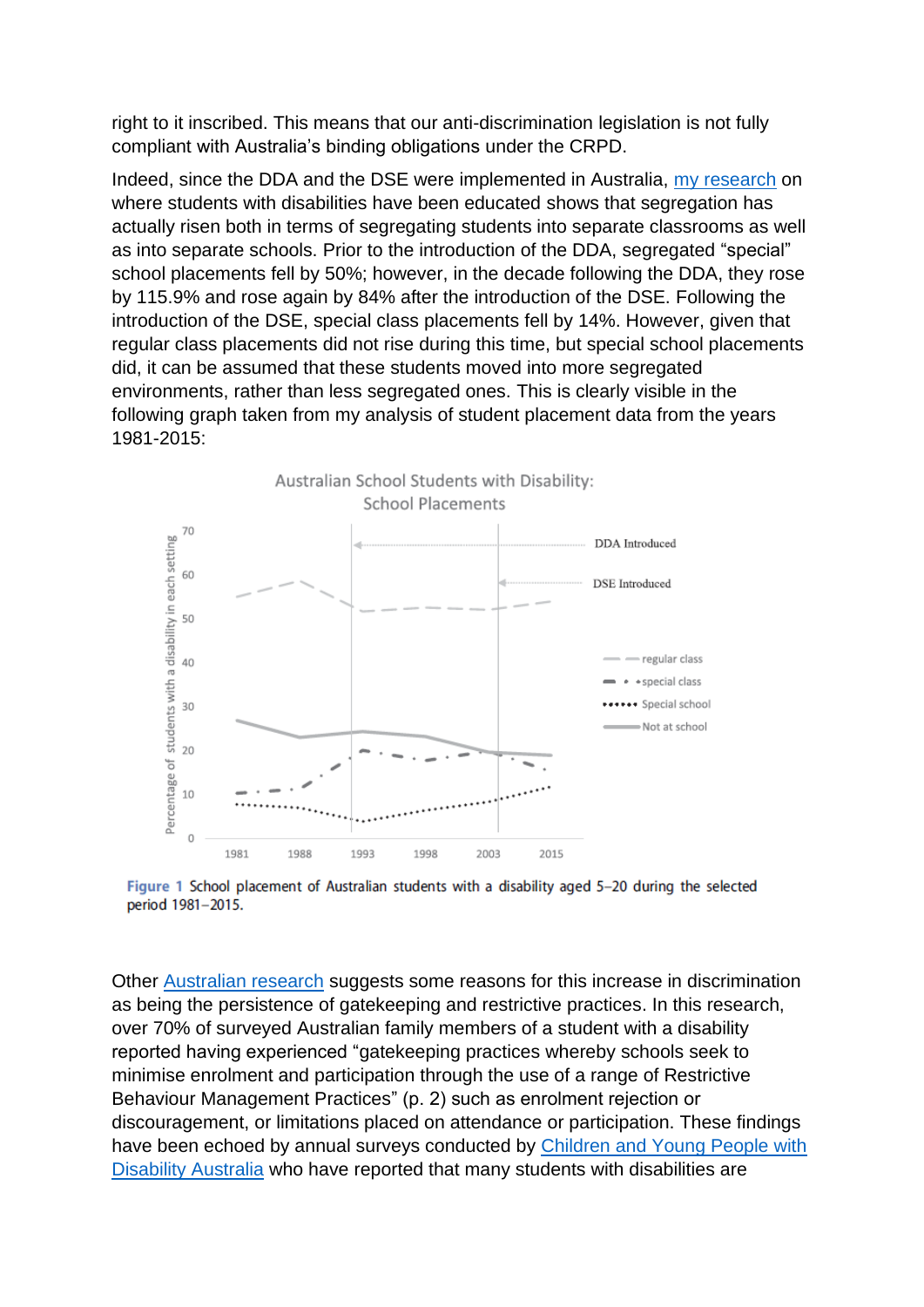right to it inscribed. This means that our anti-discrimination legislation is not fully compliant with Australia's binding obligations under the CRPD.

Indeed, since the DDA and the DSE were implemented in Australia, [my research](https://www.tandfonline.com/doi/abs/10.1080/13603116.2019.1623327?forwardService=showFullText&tokenAccess=j7AfBzPNtHFixv4hfiqY&tokenDomain=eprints&doi=10.1080%2F13603116.2019.1623327&doi=10.1080%2F13603116.2019.1623327&doi=10.1080%2F13603116.2019.1623327&target=10.1080%2F13603116.2019.1623327&journalCode=tied20) on where students with disabilities have been educated shows that segregation has actually risen both in terms of segregating students into separate classrooms as well as into separate schools. Prior to the introduction of the DDA, segregated "special" school placements fell by 50%; however, in the decade following the DDA, they rose by 115.9% and rose again by 84% after the introduction of the DSE. Following the introduction of the DSE, special class placements fell by 14%. However, given that regular class placements did not rise during this time, but special school placements did, it can be assumed that these students moved into more segregated environments, rather than less segregated ones. This is clearly visible in the following graph taken from my analysis of student placement data from the years 1981-2015:



Figure 1 School placement of Australian students with a disability aged 5-20 during the selected period 1981-2015.

Other [Australian research](https://www.tandfonline.com/doi/abs/10.1080/13603116.2020.1726512?journalCode=tied20) suggests some reasons for this increase in discrimination as being the persistence of gatekeeping and restrictive practices. In this research, over 70% of surveyed Australian family members of a student with a disability reported having experienced "gatekeeping practices whereby schools seek to minimise enrolment and participation through the use of a range of Restrictive Behaviour Management Practices" (p. 2) such as enrolment rejection or discouragement, or limitations placed on attendance or participation. These findings have been echoed by annual surveys conducted by [Children and Young People with](https://www.cyda.org.au/images/pdf/time_for_change_2019_education_survey_results.pdf)  [Disability Australia](https://www.cyda.org.au/images/pdf/time_for_change_2019_education_survey_results.pdf) who have reported that many students with disabilities are